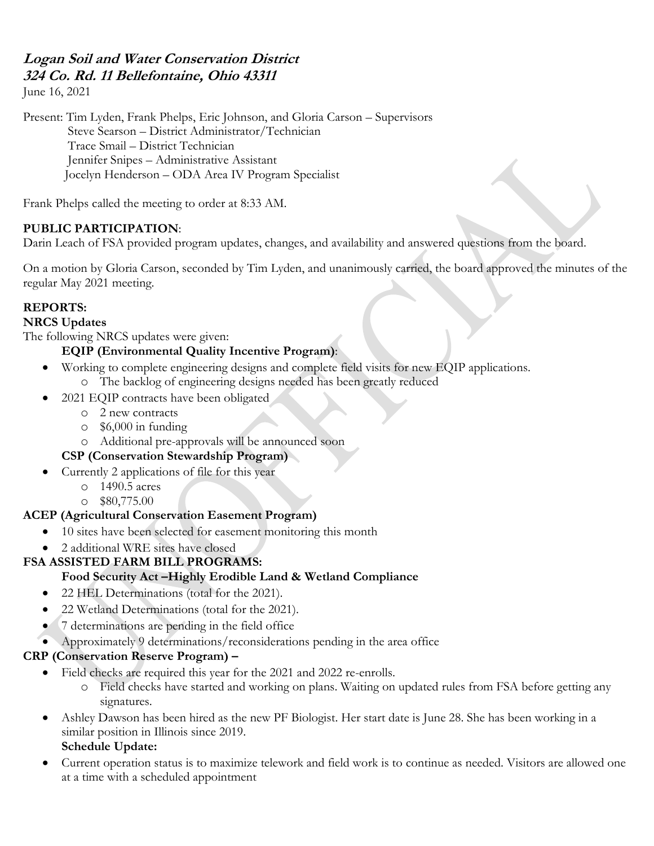## **Logan Soil and Water Conservation District 324 Co. Rd. 11 Bellefontaine, Ohio 43311**

June 16, 2021

Present: Tim Lyden, Frank Phelps, Eric Johnson, and Gloria Carson – Supervisors Steve Searson – District Administrator/Technician Trace Smail – District Technician Jennifer Snipes – Administrative Assistant Jocelyn Henderson – ODA Area IV Program Specialist

Frank Phelps called the meeting to order at 8:33 AM.

#### **PUBLIC PARTICIPATION**:

Darin Leach of FSA provided program updates, changes, and availability and answered questions from the board.

On a motion by Gloria Carson, seconded by Tim Lyden, and unanimously carried, the board approved the minutes of the regular May 2021 meeting.

#### **REPORTS:**

#### **NRCS Updates**

The following NRCS updates were given:

## **EQIP (Environmental Quality Incentive Program)**:

- Working to complete engineering designs and complete field visits for new EQIP applications. o The backlog of engineering designs needed has been greatly reduced
	-
- 2021 EQIP contracts have been obligated
	- o 2 new contracts
	- o \$6,000 in funding
	- o Additional pre-approvals will be announced soon

# **CSP (Conservation Stewardship Program)**

- Currently 2 applications of file for this year
	- o 1490.5 acres
		- $\degree$  \$80,775.00

## **ACEP (Agricultural Conservation Easement Program)**

- 10 sites have been selected for easement monitoring this month
- 2 additional WRE sites have closed

## **FSA ASSISTED FARM BILL PROGRAMS:**

#### **Food Security Act –Highly Erodible Land & Wetland Compliance**

- 22 HEL Determinations (total for the 2021).
- 22 Wetland Determinations (total for the 2021).
- 7 determinations are pending in the field office
- Approximately 9 determinations/reconsiderations pending in the area office

## **CRP (Conservation Reserve Program) –**

- Field checks are required this year for the 2021 and 2022 re-enrolls.
	- o Field checks have started and working on plans. Waiting on updated rules from FSA before getting any signatures.
- Ashley Dawson has been hired as the new PF Biologist. Her start date is June 28. She has been working in a similar position in Illinois since 2019.

# **Schedule Update:**

• Current operation status is to maximize telework and field work is to continue as needed. Visitors are allowed one at a time with a scheduled appointment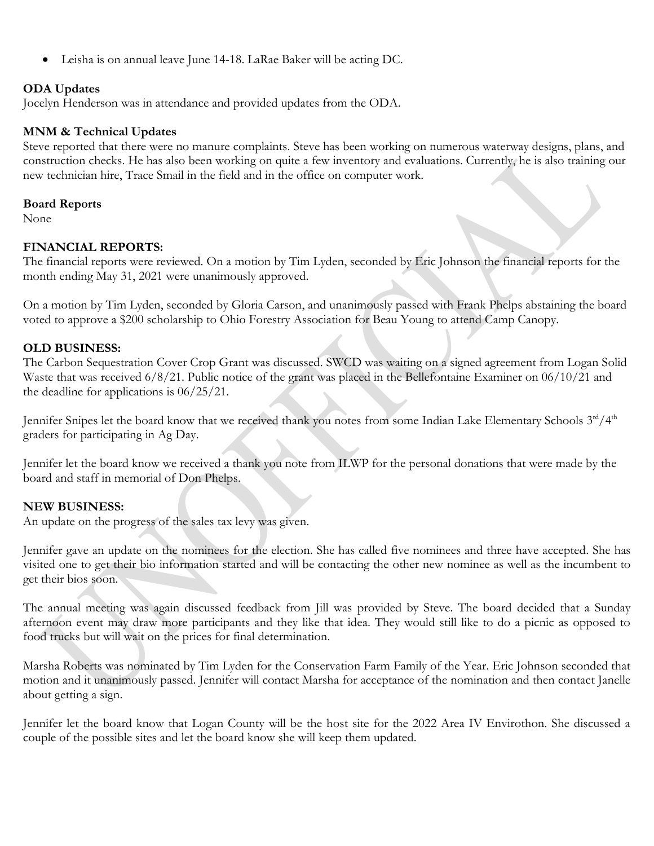• Leisha is on annual leave June 14-18. LaRae Baker will be acting DC.

#### **ODA Updates**

Jocelyn Henderson was in attendance and provided updates from the ODA.

# **MNM & Technical Updates**

Steve reported that there were no manure complaints. Steve has been working on numerous waterway designs, plans, and construction checks. He has also been working on quite a few inventory and evaluations. Currently, he is also training our new technician hire, Trace Smail in the field and in the office on computer work.

# **Board Reports**

None

# **FINANCIAL REPORTS:**

The financial reports were reviewed. On a motion by Tim Lyden, seconded by Eric Johnson the financial reports for the month ending May 31, 2021 were unanimously approved.

On a motion by Tim Lyden, seconded by Gloria Carson, and unanimously passed with Frank Phelps abstaining the board voted to approve a \$200 scholarship to Ohio Forestry Association for Beau Young to attend Camp Canopy.

# **OLD BUSINESS:**

The Carbon Sequestration Cover Crop Grant was discussed. SWCD was waiting on a signed agreement from Logan Solid Waste that was received 6/8/21. Public notice of the grant was placed in the Bellefontaine Examiner on 06/10/21 and the deadline for applications is 06/25/21.

Jennifer Snipes let the board know that we received thank you notes from some Indian Lake Elementary Schools 3rd/4<sup>th</sup> graders for participating in Ag Day.

Jennifer let the board know we received a thank you note from ILWP for the personal donations that were made by the board and staff in memorial of Don Phelps.

# **NEW BUSINESS:**

An update on the progress of the sales tax levy was given.

Jennifer gave an update on the nominees for the election. She has called five nominees and three have accepted. She has visited one to get their bio information started and will be contacting the other new nominee as well as the incumbent to get their bios soon.

The annual meeting was again discussed feedback from Jill was provided by Steve. The board decided that a Sunday afternoon event may draw more participants and they like that idea. They would still like to do a picnic as opposed to food trucks but will wait on the prices for final determination.

Marsha Roberts was nominated by Tim Lyden for the Conservation Farm Family of the Year. Eric Johnson seconded that motion and it unanimously passed. Jennifer will contact Marsha for acceptance of the nomination and then contact Janelle about getting a sign.

Jennifer let the board know that Logan County will be the host site for the 2022 Area IV Envirothon. She discussed a couple of the possible sites and let the board know she will keep them updated.